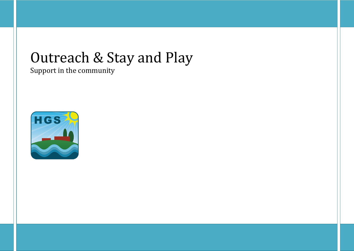# Outreach & Stay and Play

Support in the community

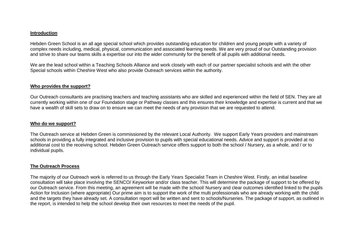#### **Introduction**

Hebden Green School is an all age special school which provides outstanding education for children and young people with a variety of complex needs including, medical, physical, communication and associated learning needs. We are very proud of our Outstanding provision and strive to share our teams skills a expertise our into the wider community for the benefit of all pupils with additional needs.

We are the lead school within a Teaching Schools Alliance and work closely with each of our partner specialist schools and with the other Special schools within Cheshire West who also provide Outreach services within the authority.

### **Who provides the support?**

Our Outreach consultants are practising teachers and teaching assistants who are skilled and experienced within the field of SEN. They are all currently working within one of our Foundation stage or Pathway classes and this ensures their knowledge and expertise is current and that we have a wealth of skill sets to draw on to ensure we can meet the needs of any provision that we are requested to attend.

#### **Who do we support?**

The Outreach service at Hebden Green is commissioned by the relevant Local Authority. We support Early Years providers and mainstream schools in providing a fully integrated and inclusive provision to pupils with special educational needs. Advice and support is provided at no additional cost to the receiving school. Hebden Green Outreach service offers support to both the school / Nursery, as a whole, and / or to individual pupils.

# **The Outreach Process**

The majority of our Outreach work is referred to us through the Early Years Specialist Team in Cheshire West. Firstly, an initial baseline consultation will take place involving the SENCO/ Keyworker and/or class teacher. This will determine the package of support to be offered by our Outreach service. From this meeting, an agreement will be made with the school/ Nursery and clear outcomes identified linked to the pupils Action for Inclusion (where appropriate) Our prime aim is to support the work of the multi professionals who are already working with the child and the targets they have already set. A consultation report will be written and sent to schools/Nurseries. The package of support, as outlined in the report, is intended to help the school develop their own resources to meet the needs of the pupil.